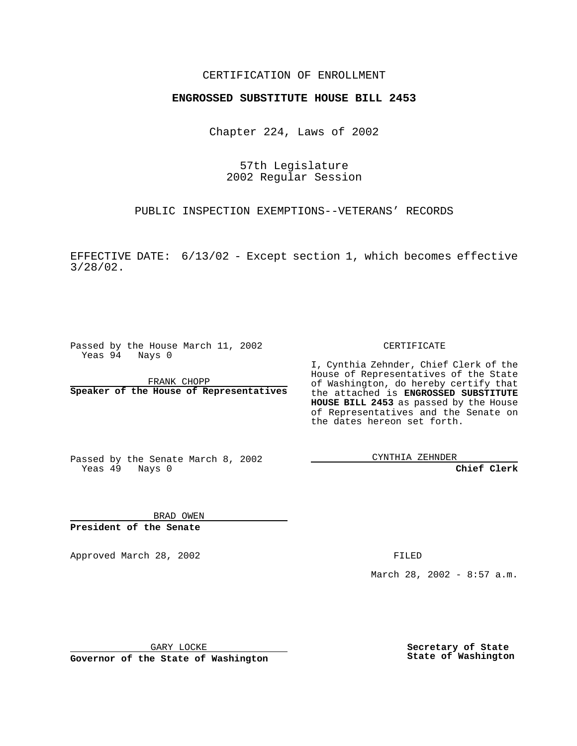### CERTIFICATION OF ENROLLMENT

# **ENGROSSED SUBSTITUTE HOUSE BILL 2453**

Chapter 224, Laws of 2002

57th Legislature 2002 Regular Session

PUBLIC INSPECTION EXEMPTIONS--VETERANS' RECORDS

EFFECTIVE DATE: 6/13/02 - Except section 1, which becomes effective 3/28/02.

Passed by the House March 11, 2002 Yeas 94 Nays 0

FRANK CHOPP **Speaker of the House of Representatives** CERTIFICATE

I, Cynthia Zehnder, Chief Clerk of the House of Representatives of the State of Washington, do hereby certify that the attached is **ENGROSSED SUBSTITUTE HOUSE BILL 2453** as passed by the House of Representatives and the Senate on the dates hereon set forth.

Passed by the Senate March 8, 2002 Yeas 49 Nays 0

CYNTHIA ZEHNDER

**Chief Clerk**

BRAD OWEN **President of the Senate**

Approved March 28, 2002 **FILED** 

March 28, 2002 - 8:57 a.m.

GARY LOCKE

**Governor of the State of Washington**

**Secretary of State State of Washington**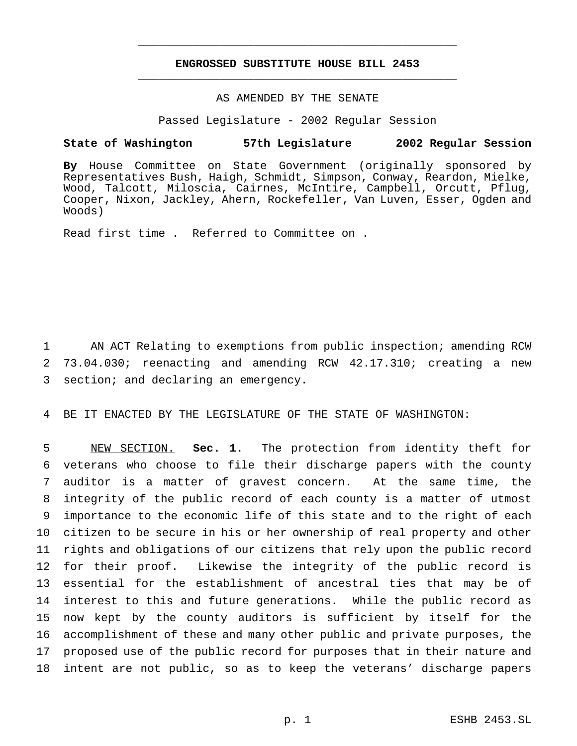## **ENGROSSED SUBSTITUTE HOUSE BILL 2453** \_\_\_\_\_\_\_\_\_\_\_\_\_\_\_\_\_\_\_\_\_\_\_\_\_\_\_\_\_\_\_\_\_\_\_\_\_\_\_\_\_\_\_\_\_\_\_

\_\_\_\_\_\_\_\_\_\_\_\_\_\_\_\_\_\_\_\_\_\_\_\_\_\_\_\_\_\_\_\_\_\_\_\_\_\_\_\_\_\_\_\_\_\_\_

# AS AMENDED BY THE SENATE

Passed Legislature - 2002 Regular Session

#### **State of Washington 57th Legislature 2002 Regular Session**

**By** House Committee on State Government (originally sponsored by Representatives Bush, Haigh, Schmidt, Simpson, Conway, Reardon, Mielke, Wood, Talcott, Miloscia, Cairnes, McIntire, Campbell, Orcutt, Pflug, Cooper, Nixon, Jackley, Ahern, Rockefeller, Van Luven, Esser, Ogden and Woods)

Read first time . Referred to Committee on .

1 AN ACT Relating to exemptions from public inspection; amending RCW 2 73.04.030; reenacting and amending RCW 42.17.310; creating a new 3 section; and declaring an emergency.

4 BE IT ENACTED BY THE LEGISLATURE OF THE STATE OF WASHINGTON:

 NEW SECTION. **Sec. 1.** The protection from identity theft for veterans who choose to file their discharge papers with the county auditor is a matter of gravest concern. At the same time, the integrity of the public record of each county is a matter of utmost importance to the economic life of this state and to the right of each citizen to be secure in his or her ownership of real property and other rights and obligations of our citizens that rely upon the public record for their proof. Likewise the integrity of the public record is essential for the establishment of ancestral ties that may be of interest to this and future generations. While the public record as now kept by the county auditors is sufficient by itself for the accomplishment of these and many other public and private purposes, the proposed use of the public record for purposes that in their nature and intent are not public, so as to keep the veterans' discharge papers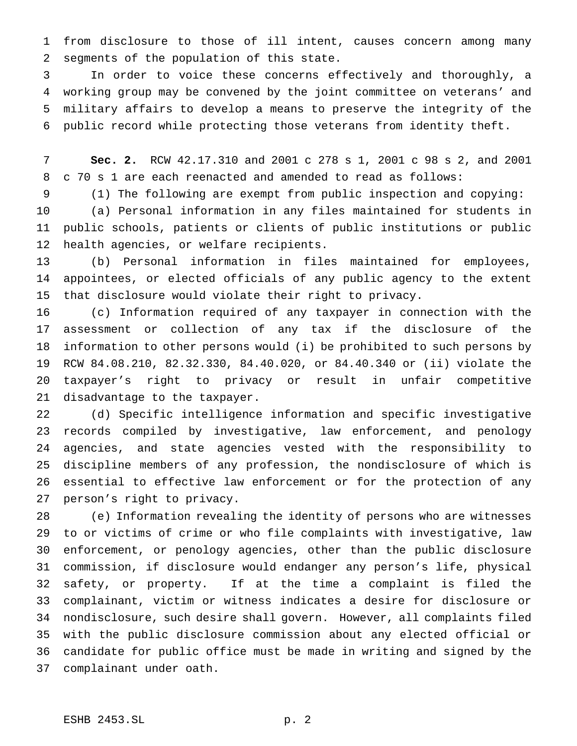from disclosure to those of ill intent, causes concern among many segments of the population of this state.

 In order to voice these concerns effectively and thoroughly, a working group may be convened by the joint committee on veterans' and military affairs to develop a means to preserve the integrity of the public record while protecting those veterans from identity theft.

 **Sec. 2.** RCW 42.17.310 and 2001 c 278 s 1, 2001 c 98 s 2, and 2001 c 70 s 1 are each reenacted and amended to read as follows:

 (1) The following are exempt from public inspection and copying: (a) Personal information in any files maintained for students in public schools, patients or clients of public institutions or public health agencies, or welfare recipients.

 (b) Personal information in files maintained for employees, appointees, or elected officials of any public agency to the extent that disclosure would violate their right to privacy.

 (c) Information required of any taxpayer in connection with the assessment or collection of any tax if the disclosure of the information to other persons would (i) be prohibited to such persons by RCW 84.08.210, 82.32.330, 84.40.020, or 84.40.340 or (ii) violate the taxpayer's right to privacy or result in unfair competitive disadvantage to the taxpayer.

 (d) Specific intelligence information and specific investigative records compiled by investigative, law enforcement, and penology agencies, and state agencies vested with the responsibility to discipline members of any profession, the nondisclosure of which is essential to effective law enforcement or for the protection of any person's right to privacy.

 (e) Information revealing the identity of persons who are witnesses to or victims of crime or who file complaints with investigative, law enforcement, or penology agencies, other than the public disclosure commission, if disclosure would endanger any person's life, physical safety, or property. If at the time a complaint is filed the complainant, victim or witness indicates a desire for disclosure or nondisclosure, such desire shall govern. However, all complaints filed with the public disclosure commission about any elected official or candidate for public office must be made in writing and signed by the complainant under oath.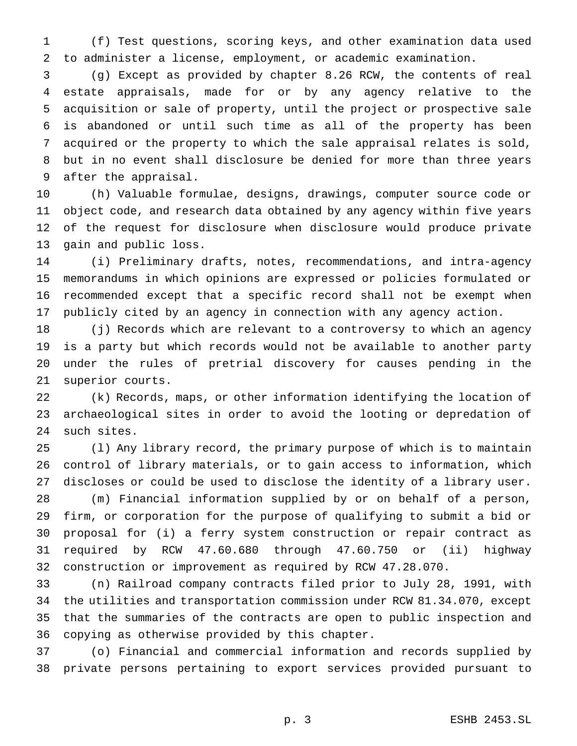(f) Test questions, scoring keys, and other examination data used to administer a license, employment, or academic examination.

 (g) Except as provided by chapter 8.26 RCW, the contents of real estate appraisals, made for or by any agency relative to the acquisition or sale of property, until the project or prospective sale is abandoned or until such time as all of the property has been acquired or the property to which the sale appraisal relates is sold, but in no event shall disclosure be denied for more than three years after the appraisal.

 (h) Valuable formulae, designs, drawings, computer source code or object code, and research data obtained by any agency within five years of the request for disclosure when disclosure would produce private gain and public loss.

 (i) Preliminary drafts, notes, recommendations, and intra-agency memorandums in which opinions are expressed or policies formulated or recommended except that a specific record shall not be exempt when publicly cited by an agency in connection with any agency action.

 (j) Records which are relevant to a controversy to which an agency is a party but which records would not be available to another party under the rules of pretrial discovery for causes pending in the superior courts.

 (k) Records, maps, or other information identifying the location of archaeological sites in order to avoid the looting or depredation of such sites.

 (l) Any library record, the primary purpose of which is to maintain control of library materials, or to gain access to information, which discloses or could be used to disclose the identity of a library user. (m) Financial information supplied by or on behalf of a person, firm, or corporation for the purpose of qualifying to submit a bid or proposal for (i) a ferry system construction or repair contract as required by RCW 47.60.680 through 47.60.750 or (ii) highway construction or improvement as required by RCW 47.28.070.

 (n) Railroad company contracts filed prior to July 28, 1991, with the utilities and transportation commission under RCW 81.34.070, except that the summaries of the contracts are open to public inspection and copying as otherwise provided by this chapter.

 (o) Financial and commercial information and records supplied by private persons pertaining to export services provided pursuant to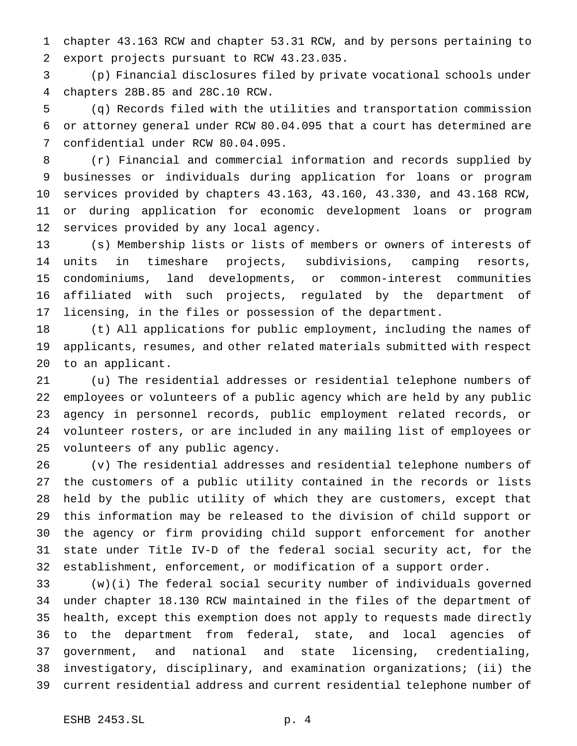chapter 43.163 RCW and chapter 53.31 RCW, and by persons pertaining to export projects pursuant to RCW 43.23.035.

 (p) Financial disclosures filed by private vocational schools under chapters 28B.85 and 28C.10 RCW.

 (q) Records filed with the utilities and transportation commission or attorney general under RCW 80.04.095 that a court has determined are confidential under RCW 80.04.095.

 (r) Financial and commercial information and records supplied by businesses or individuals during application for loans or program services provided by chapters 43.163, 43.160, 43.330, and 43.168 RCW, or during application for economic development loans or program services provided by any local agency.

 (s) Membership lists or lists of members or owners of interests of units in timeshare projects, subdivisions, camping resorts, condominiums, land developments, or common-interest communities affiliated with such projects, regulated by the department of licensing, in the files or possession of the department.

 (t) All applications for public employment, including the names of applicants, resumes, and other related materials submitted with respect to an applicant.

 (u) The residential addresses or residential telephone numbers of employees or volunteers of a public agency which are held by any public agency in personnel records, public employment related records, or volunteer rosters, or are included in any mailing list of employees or volunteers of any public agency.

 (v) The residential addresses and residential telephone numbers of the customers of a public utility contained in the records or lists held by the public utility of which they are customers, except that this information may be released to the division of child support or the agency or firm providing child support enforcement for another state under Title IV-D of the federal social security act, for the establishment, enforcement, or modification of a support order.

 (w)(i) The federal social security number of individuals governed under chapter 18.130 RCW maintained in the files of the department of health, except this exemption does not apply to requests made directly to the department from federal, state, and local agencies of government, and national and state licensing, credentialing, investigatory, disciplinary, and examination organizations; (ii) the current residential address and current residential telephone number of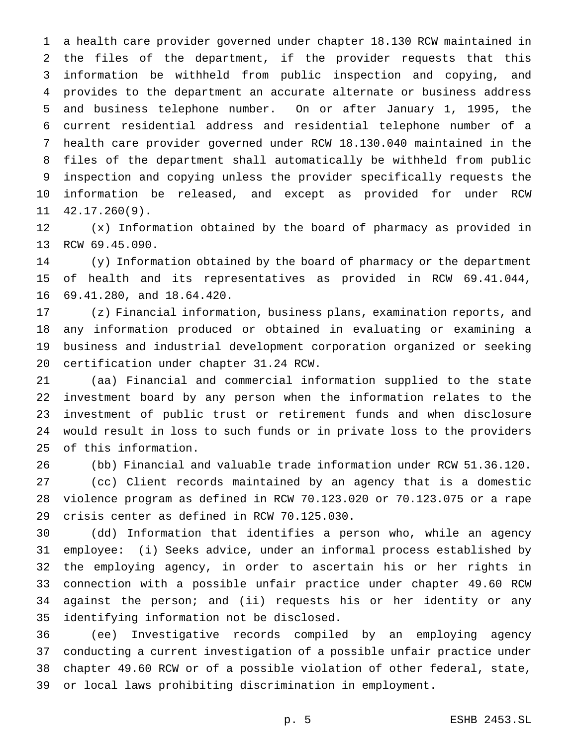a health care provider governed under chapter 18.130 RCW maintained in the files of the department, if the provider requests that this information be withheld from public inspection and copying, and provides to the department an accurate alternate or business address and business telephone number. On or after January 1, 1995, the current residential address and residential telephone number of a health care provider governed under RCW 18.130.040 maintained in the files of the department shall automatically be withheld from public inspection and copying unless the provider specifically requests the information be released, and except as provided for under RCW 42.17.260(9).

 (x) Information obtained by the board of pharmacy as provided in RCW 69.45.090.

 (y) Information obtained by the board of pharmacy or the department of health and its representatives as provided in RCW 69.41.044, 69.41.280, and 18.64.420.

 (z) Financial information, business plans, examination reports, and any information produced or obtained in evaluating or examining a business and industrial development corporation organized or seeking certification under chapter 31.24 RCW.

 (aa) Financial and commercial information supplied to the state investment board by any person when the information relates to the investment of public trust or retirement funds and when disclosure would result in loss to such funds or in private loss to the providers of this information.

 (bb) Financial and valuable trade information under RCW 51.36.120. (cc) Client records maintained by an agency that is a domestic violence program as defined in RCW 70.123.020 or 70.123.075 or a rape crisis center as defined in RCW 70.125.030.

 (dd) Information that identifies a person who, while an agency employee: (i) Seeks advice, under an informal process established by the employing agency, in order to ascertain his or her rights in connection with a possible unfair practice under chapter 49.60 RCW against the person; and (ii) requests his or her identity or any identifying information not be disclosed.

 (ee) Investigative records compiled by an employing agency conducting a current investigation of a possible unfair practice under chapter 49.60 RCW or of a possible violation of other federal, state, or local laws prohibiting discrimination in employment.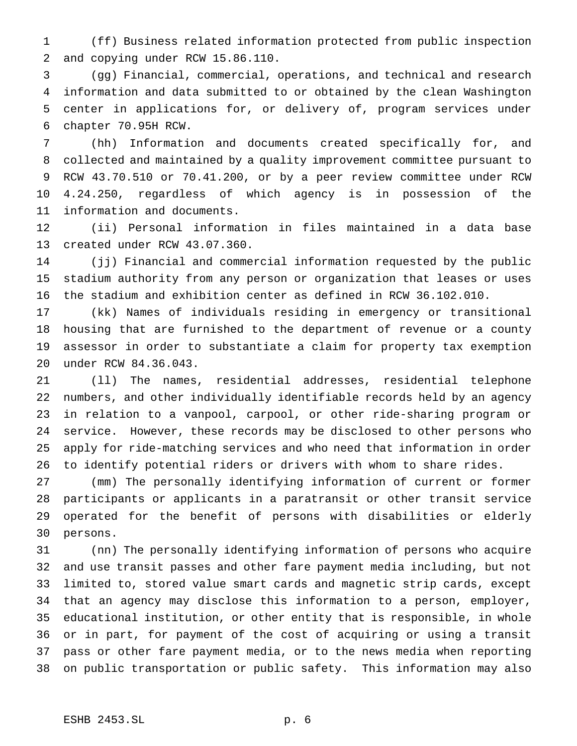(ff) Business related information protected from public inspection and copying under RCW 15.86.110.

 (gg) Financial, commercial, operations, and technical and research information and data submitted to or obtained by the clean Washington center in applications for, or delivery of, program services under chapter 70.95H RCW.

 (hh) Information and documents created specifically for, and collected and maintained by a quality improvement committee pursuant to RCW 43.70.510 or 70.41.200, or by a peer review committee under RCW 4.24.250, regardless of which agency is in possession of the information and documents.

 (ii) Personal information in files maintained in a data base created under RCW 43.07.360.

 (jj) Financial and commercial information requested by the public stadium authority from any person or organization that leases or uses the stadium and exhibition center as defined in RCW 36.102.010.

 (kk) Names of individuals residing in emergency or transitional housing that are furnished to the department of revenue or a county assessor in order to substantiate a claim for property tax exemption under RCW 84.36.043.

 (ll) The names, residential addresses, residential telephone numbers, and other individually identifiable records held by an agency in relation to a vanpool, carpool, or other ride-sharing program or service. However, these records may be disclosed to other persons who apply for ride-matching services and who need that information in order to identify potential riders or drivers with whom to share rides.

 (mm) The personally identifying information of current or former participants or applicants in a paratransit or other transit service operated for the benefit of persons with disabilities or elderly persons.

 (nn) The personally identifying information of persons who acquire and use transit passes and other fare payment media including, but not limited to, stored value smart cards and magnetic strip cards, except that an agency may disclose this information to a person, employer, educational institution, or other entity that is responsible, in whole or in part, for payment of the cost of acquiring or using a transit pass or other fare payment media, or to the news media when reporting on public transportation or public safety. This information may also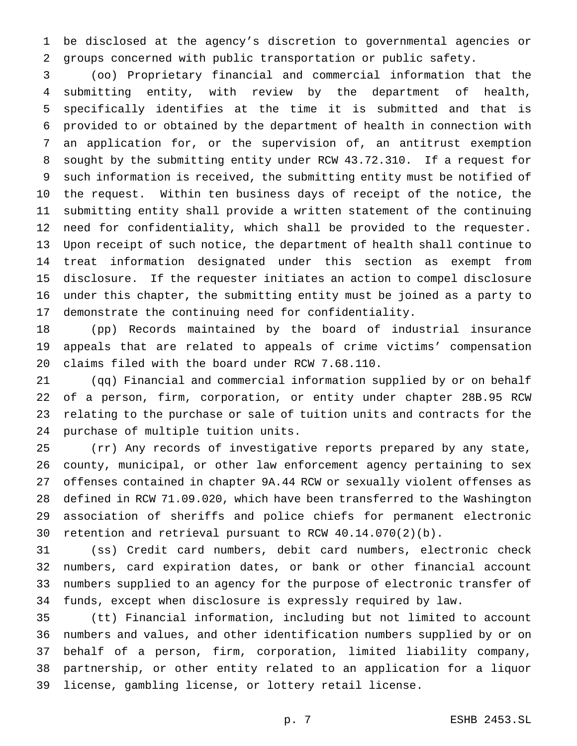be disclosed at the agency's discretion to governmental agencies or groups concerned with public transportation or public safety.

 (oo) Proprietary financial and commercial information that the submitting entity, with review by the department of health, specifically identifies at the time it is submitted and that is provided to or obtained by the department of health in connection with an application for, or the supervision of, an antitrust exemption sought by the submitting entity under RCW 43.72.310. If a request for such information is received, the submitting entity must be notified of the request. Within ten business days of receipt of the notice, the submitting entity shall provide a written statement of the continuing need for confidentiality, which shall be provided to the requester. Upon receipt of such notice, the department of health shall continue to treat information designated under this section as exempt from disclosure. If the requester initiates an action to compel disclosure under this chapter, the submitting entity must be joined as a party to demonstrate the continuing need for confidentiality.

 (pp) Records maintained by the board of industrial insurance appeals that are related to appeals of crime victims' compensation claims filed with the board under RCW 7.68.110.

 (qq) Financial and commercial information supplied by or on behalf of a person, firm, corporation, or entity under chapter 28B.95 RCW relating to the purchase or sale of tuition units and contracts for the purchase of multiple tuition units.

 (rr) Any records of investigative reports prepared by any state, county, municipal, or other law enforcement agency pertaining to sex offenses contained in chapter 9A.44 RCW or sexually violent offenses as defined in RCW 71.09.020, which have been transferred to the Washington association of sheriffs and police chiefs for permanent electronic retention and retrieval pursuant to RCW 40.14.070(2)(b).

 (ss) Credit card numbers, debit card numbers, electronic check numbers, card expiration dates, or bank or other financial account numbers supplied to an agency for the purpose of electronic transfer of funds, except when disclosure is expressly required by law.

 (tt) Financial information, including but not limited to account numbers and values, and other identification numbers supplied by or on behalf of a person, firm, corporation, limited liability company, partnership, or other entity related to an application for a liquor license, gambling license, or lottery retail license.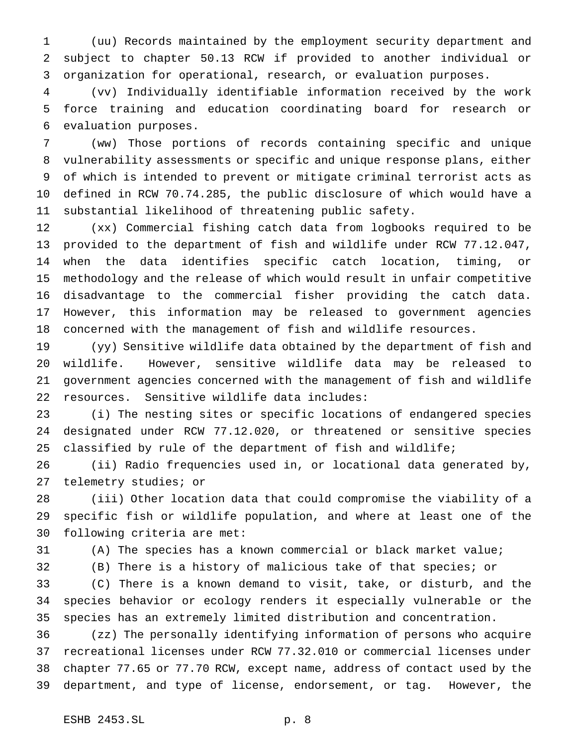(uu) Records maintained by the employment security department and subject to chapter 50.13 RCW if provided to another individual or organization for operational, research, or evaluation purposes.

 (vv) Individually identifiable information received by the work force training and education coordinating board for research or evaluation purposes.

 (ww) Those portions of records containing specific and unique vulnerability assessments or specific and unique response plans, either of which is intended to prevent or mitigate criminal terrorist acts as defined in RCW 70.74.285, the public disclosure of which would have a substantial likelihood of threatening public safety.

 (xx) Commercial fishing catch data from logbooks required to be provided to the department of fish and wildlife under RCW 77.12.047, when the data identifies specific catch location, timing, or methodology and the release of which would result in unfair competitive disadvantage to the commercial fisher providing the catch data. However, this information may be released to government agencies concerned with the management of fish and wildlife resources.

 (yy) Sensitive wildlife data obtained by the department of fish and wildlife. However, sensitive wildlife data may be released to government agencies concerned with the management of fish and wildlife resources. Sensitive wildlife data includes:

 (i) The nesting sites or specific locations of endangered species designated under RCW 77.12.020, or threatened or sensitive species 25 classified by rule of the department of fish and wildlife;

 (ii) Radio frequencies used in, or locational data generated by, telemetry studies; or

 (iii) Other location data that could compromise the viability of a specific fish or wildlife population, and where at least one of the following criteria are met:

(A) The species has a known commercial or black market value;

(B) There is a history of malicious take of that species; or

 (C) There is a known demand to visit, take, or disturb, and the species behavior or ecology renders it especially vulnerable or the species has an extremely limited distribution and concentration.

 (zz) The personally identifying information of persons who acquire recreational licenses under RCW 77.32.010 or commercial licenses under chapter 77.65 or 77.70 RCW, except name, address of contact used by the department, and type of license, endorsement, or tag. However, the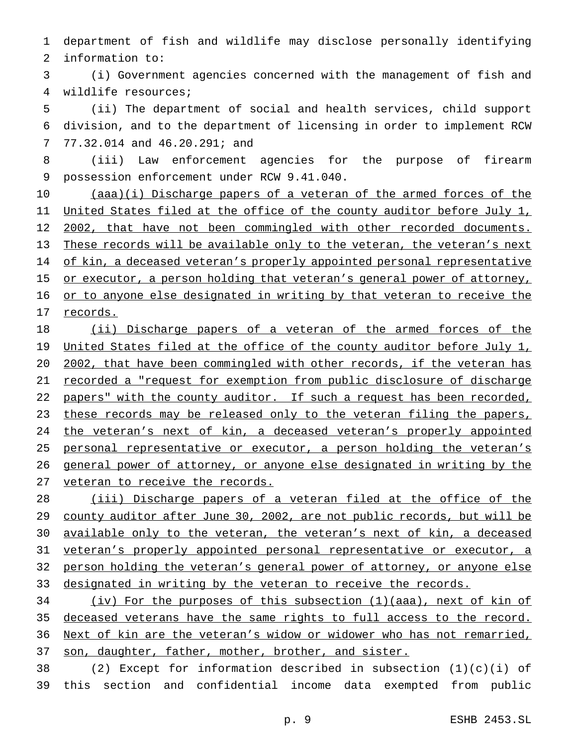department of fish and wildlife may disclose personally identifying information to:

 (i) Government agencies concerned with the management of fish and wildlife resources;

 (ii) The department of social and health services, child support division, and to the department of licensing in order to implement RCW 77.32.014 and 46.20.291; and

 (iii) Law enforcement agencies for the purpose of firearm possession enforcement under RCW 9.41.040.

 (aaa)(i) Discharge papers of a veteran of the armed forces of the 11 United States filed at the office of the county auditor before July 1, 12 2002, that have not been commingled with other recorded documents. These records will be available only to the veteran, the veteran's next 14 of kin, a deceased veteran's properly appointed personal representative 15 or executor, a person holding that veteran's general power of attorney, 16 or to anyone else designated in writing by that veteran to receive the records.

 (ii) Discharge papers of a veteran of the armed forces of the 19 United States filed at the office of the county auditor before July 1, 2002, that have been commingled with other records, if the veteran has recorded a "request for exemption from public disclosure of discharge 22 papers" with the county auditor. If such a request has been recorded, 23 these records may be released only to the veteran filing the papers, 24 the veteran's next of kin, a deceased veteran's properly appointed 25 personal representative or executor, a person holding the veteran's general power of attorney, or anyone else designated in writing by the 27 veteran to receive the records.

 (iii) Discharge papers of a veteran filed at the office of the county auditor after June 30, 2002, are not public records, but will be available only to the veteran, the veteran's next of kin, a deceased veteran's properly appointed personal representative or executor, a person holding the veteran's general power of attorney, or anyone else 33 designated in writing by the veteran to receive the records.

 (iv) For the purposes of this subsection (1)(aaa), next of kin of deceased veterans have the same rights to full access to the record. Next of kin are the veteran's widow or widower who has not remarried, son, daughter, father, mother, brother, and sister.

38 (2) Except for information described in subsection  $(1)(c)(i)$  of this section and confidential income data exempted from public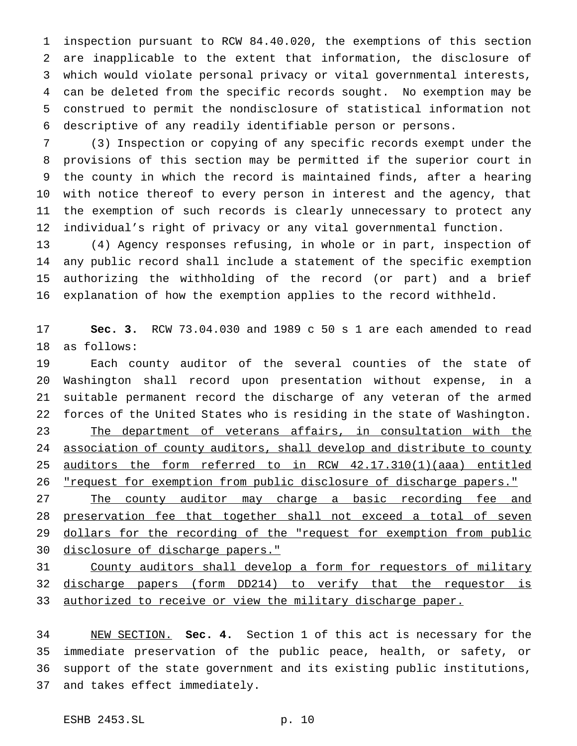inspection pursuant to RCW 84.40.020, the exemptions of this section are inapplicable to the extent that information, the disclosure of which would violate personal privacy or vital governmental interests, can be deleted from the specific records sought. No exemption may be construed to permit the nondisclosure of statistical information not descriptive of any readily identifiable person or persons.

 (3) Inspection or copying of any specific records exempt under the provisions of this section may be permitted if the superior court in the county in which the record is maintained finds, after a hearing with notice thereof to every person in interest and the agency, that the exemption of such records is clearly unnecessary to protect any individual's right of privacy or any vital governmental function.

 (4) Agency responses refusing, in whole or in part, inspection of any public record shall include a statement of the specific exemption authorizing the withholding of the record (or part) and a brief explanation of how the exemption applies to the record withheld.

 **Sec. 3.** RCW 73.04.030 and 1989 c 50 s 1 are each amended to read as follows:

 Each county auditor of the several counties of the state of Washington shall record upon presentation without expense, in a suitable permanent record the discharge of any veteran of the armed forces of the United States who is residing in the state of Washington. 23 The department of veterans affairs, in consultation with the 24 association of county auditors, shall develop and distribute to county auditors the form referred to in RCW 42.17.310(1)(aaa) entitled "request for exemption from public disclosure of discharge papers."

27 The county auditor may charge a basic recording fee and 28 preservation fee that together shall not exceed a total of seven 29 dollars for the recording of the "request for exemption from public disclosure of discharge papers."

 County auditors shall develop a form for requestors of military discharge papers (form DD214) to verify that the requestor is 33 authorized to receive or view the military discharge paper.

 NEW SECTION. **Sec. 4.** Section 1 of this act is necessary for the immediate preservation of the public peace, health, or safety, or support of the state government and its existing public institutions, and takes effect immediately.